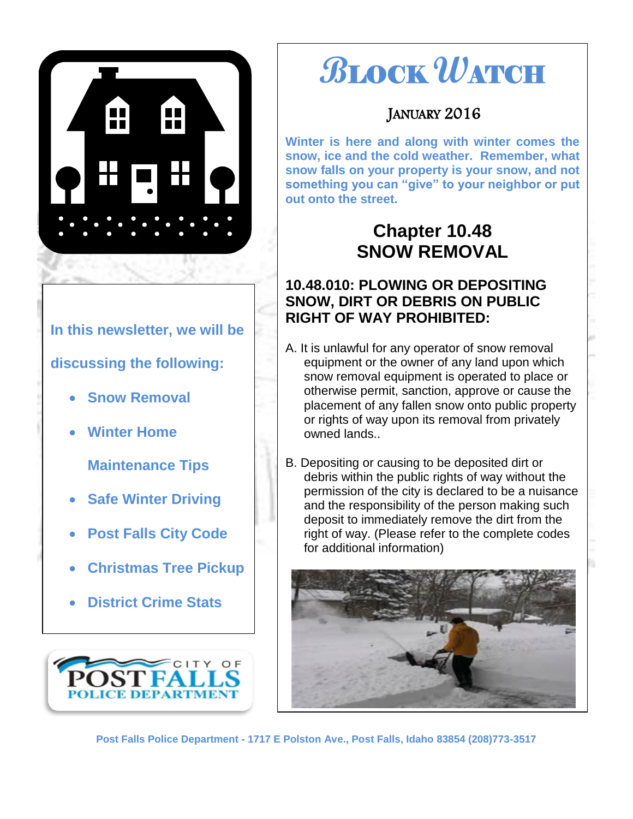

# **In this newsletter, we will be discussing the following:**

- **Snow Removal**
- **Winter Home**

**Maintenance Tips**

- **Safe Winter Driving**
- **Post Falls City Code**
- **Christmas Tree Pickup**
- **District Crime Stats**



# **B**LOCK **W**ATCH

## JANUARY 2016

**Winter is here and along with winter comes the snow, ice and the cold weather. Remember, what snow falls on your property is your snow, and not something you can "give" to your neighbor or put out onto the street.** 

# **Chapter 10.48 SNOW REMOVAL**

## **10.48.010: PLOWING OR DEPOSITING SNOW, DIRT OR DEBRIS ON PUBLIC RIGHT OF WAY PROHIBITED:**

- A. It is unlawful for any operator of snow removal equipment or the owner of any land upon which snow removal equipment is operated to place or otherwise permit, sanction, approve or cause the placement of any fallen snow onto public property or rights of way upon its removal from privately owned lands..
- B. Depositing or causing to be deposited dirt or debris within the public rights of way without the permission of the city is declared to be a nuisance and the responsibility of the person making such deposit to immediately remove the dirt from the right of way. (Please refer to the complete codes for additional information)

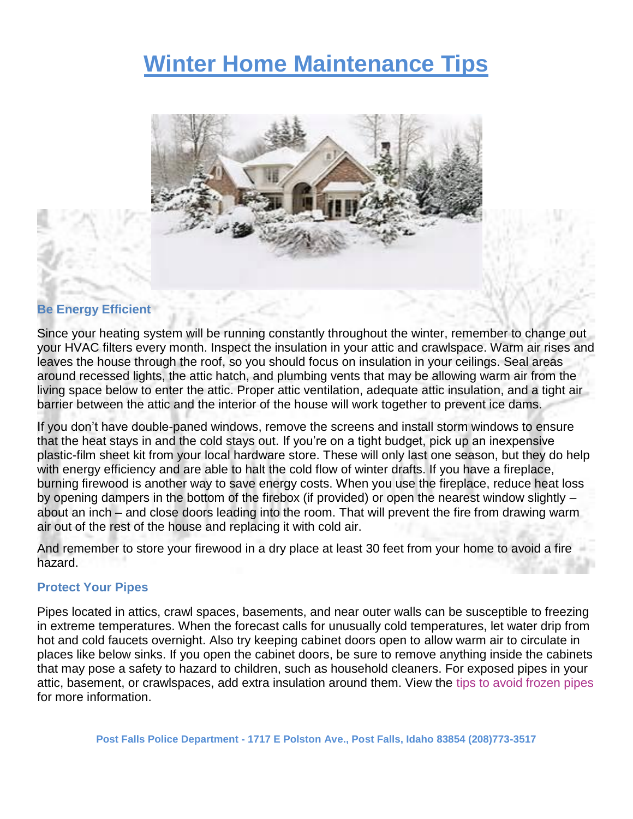# **Winter Home Maintenance Tips**



#### **Be Energy Efficient**

Since your heating system will be running constantly throughout the winter, remember to change out your HVAC filters every month. Inspect the insulation in your attic and crawlspace. Warm air rises and leaves the house through the roof, so you should focus on insulation in your ceilings. Seal areas around recessed lights, the attic hatch, and plumbing vents that may be allowing warm air from the living space below to enter the attic. Proper attic ventilation, adequate attic insulation, and a tight air barrier between the attic and the interior of the house will work together to prevent ice dams.

If you don't have double-paned windows, remove the screens and install storm windows to ensure that the heat stays in and the cold stays out. If you're on a tight budget, pick up an inexpensive plastic-film sheet kit from your local hardware store. These will only last one season, but they do help with energy efficiency and are able to halt the cold flow of winter drafts. If you have a fireplace, burning firewood is another way to save energy costs. When you use the fireplace, reduce heat loss by opening dampers in the bottom of the firebox (if provided) or open the nearest window slightly – about an inch – and close doors leading into the room. That will prevent the fire from drawing warm air out of the rest of the house and replacing it with cold air.

And remember to store your firewood in a dry place at least 30 feet from your home to avoid a fire hazard.

#### **Protect Your Pipes**

Pipes located in attics, crawl spaces, basements, and near outer walls can be susceptible to freezing in extreme temperatures. When the forecast calls for unusually cold temperatures, let water drip from hot and cold faucets overnight. Also try keeping cabinet doors open to allow warm air to circulate in places like below sinks. If you open the cabinet doors, be sure to remove anything inside the cabinets that may pose a safety to hazard to children, such as household cleaners. For exposed pipes in your attic, basement, or crawlspaces, add extra insulation around them. View the [tips to avoid frozen pipes](https://learningcenter.statefarm.com/residence/maintenance/preventing-frozen-pipes/) for more information.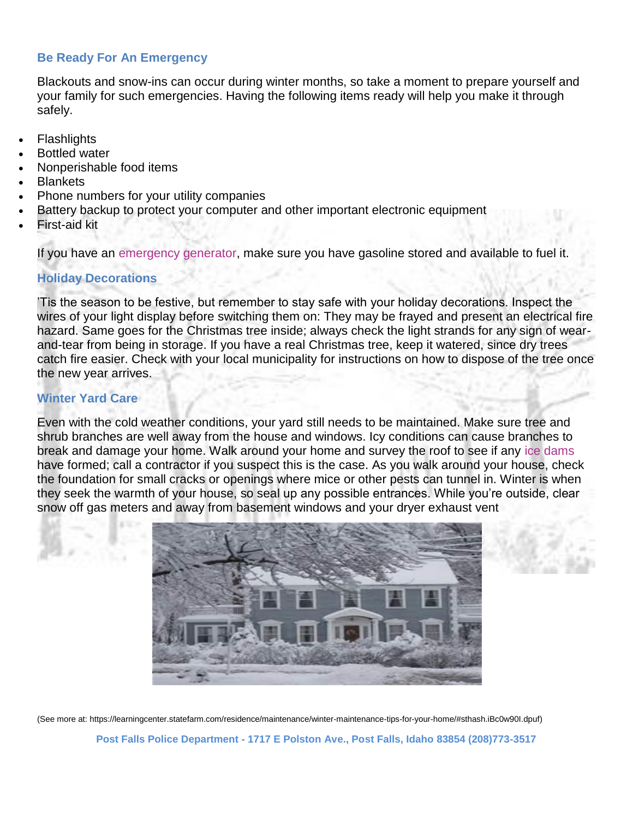#### **Be Ready For An Emergency**

Blackouts and snow-ins can occur during winter months, so take a moment to prepare yourself and your family for such emergencies. Having the following items ready will help you make it through safely.

- **Flashlights**
- Bottled water
- Nonperishable food items
- **Blankets**
- Phone numbers for your utility companies
- Battery backup to protect your computer and other important electronic equipment
- First-aid kit

If you have an [emergency generator,](https://learningcenter.statefarm.com/residence/safety-1/back-up-generators-for-emergencies/) make sure you have gasoline stored and available to fuel it.

#### **Holiday Decorations**

'Tis the season to be festive, but remember to stay safe with your holiday decorations. Inspect the wires of your light display before switching them on: They may be frayed and present an electrical fire hazard. Same goes for the Christmas tree inside; always check the light strands for any sign of wearand-tear from being in storage. If you have a real Christmas tree, keep it watered, since dry trees catch fire easier. Check with your local municipality for instructions on how to dispose of the tree once the new year arrives.

#### **Winter Yard Care**

Even with the cold weather conditions, your yard still needs to be maintained. Make sure tree and shrub branches are well away from the house and windows. Icy conditions can cause branches to break and damage your home. Walk around your home and survey the roof to see if any [ice dams](https://learningcenter.statefarm.com/residence/maintenance/ice-dams-and-attic-condensation/index.html) have formed; call a contractor if you suspect this is the case. As you walk around your house, check the foundation for small cracks or openings where mice or other pests can tunnel in. Winter is when they seek the warmth of your house, so seal up any possible entrances. While you're outside, clear snow off gas meters and away from basement windows and your dryer exhaust vent



(See more at: https://learningcenter.statefarm.com/residence/maintenance/winter-maintenance-tips-for-your-home/#sthash.iBc0w90I.dpuf)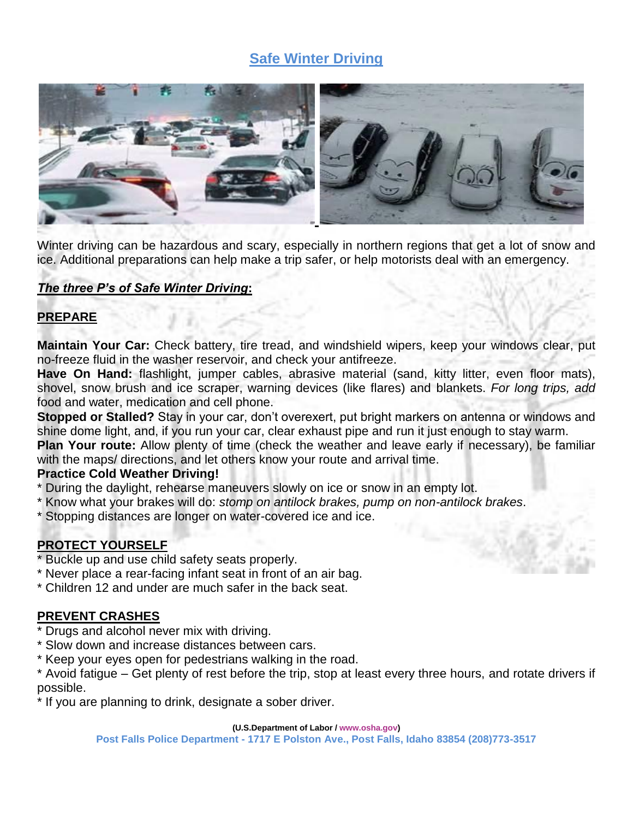## **Safe Winter Driving**



Winter driving can be hazardous and scary, especially in northern regions that get a lot of snow and ice. Additional preparations can help make a trip safer, or help motorists deal with an emergency.

#### *The three P's of Safe Winter Driving***:**

#### **PREPARE**

**Maintain Your Car:** Check battery, tire tread, and windshield wipers, keep your windows clear, put no-freeze fluid in the washer reservoir, and check your antifreeze.

**Have On Hand:** flashlight, jumper cables, abrasive material (sand, kitty litter, even floor mats), shovel, snow brush and ice scraper, warning devices (like flares) and blankets. *For long trips, add*  food and water, medication and cell phone.

**Stopped or Stalled?** Stay in your car, don't overexert, put bright markers on antenna or windows and shine dome light, and, if you run your car, clear exhaust pipe and run it just enough to stay warm.

**Plan Your route:** Allow plenty of time (check the weather and leave early if necessary), be familiar with the maps/ directions, and let others know your route and arrival time.

#### **Practice Cold Weather Driving!**

- \* During the daylight, rehearse maneuvers slowly on ice or snow in an empty lot.
- \* Know what your brakes will do: *stomp on antilock brakes, pump on non-antilock brakes*.
- \* Stopping distances are longer on water-covered ice and ice.

#### **PROTECT YOURSELF**

- \* Buckle up and use child safety seats properly.
- \* Never place a rear-facing infant seat in front of an air bag.
- \* Children 12 and under are much safer in the back seat.

#### **PREVENT CRASHES**

- Drugs and alcohol never mix with driving.
- Slow down and increase distances between cars.
- \* Keep your eyes open for pedestrians walking in the road.

\* Avoid fatigue – Get plenty of rest before the trip, stop at least every three hours, and rotate drivers if possible.

\* If you are planning to drink, designate a sober driver.

#### **(U.S.Department of Labor [/ www.osha.gov\)](http://www.osha.gov/)**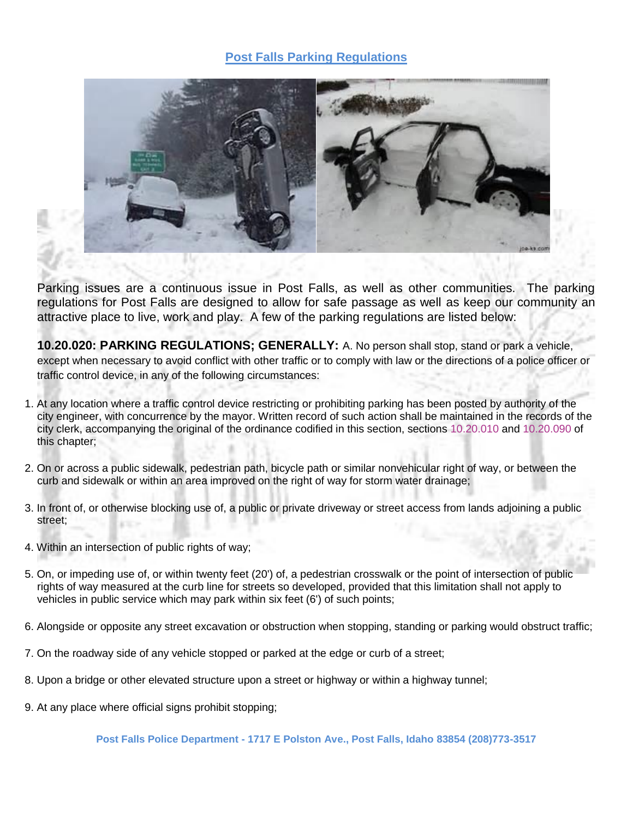#### **Post Falls Parking Regulations**



Parking issues are a continuous issue in Post Falls, as well as other communities. The parking regulations for Post Falls are designed to allow for safe passage as well as keep our community an attractive place to live, work and play. A few of the parking regulations are listed below:

**10.20.020: PARKING REGULATIONS; GENERALLY:** A. No person shall stop, stand or park a vehicle, except when necessary to avoid conflict with other traffic or to comply with law or the directions of a police officer or traffic control device, in any of the following circumstances:

- 1. At any location where a traffic control device restricting or prohibiting parking has been posted by authority of the city engineer, with concurrence by the mayor. Written record of such action shall be maintained in the records of the city clerk, accompanying the original of the ordinance codified in this section, sections [10.20.010](http://www.sterlingcodifiers.com/codebook/getBookData.php?ft=3&find=10.20.010) and [10.20.090](http://www.sterlingcodifiers.com/codebook/getBookData.php?ft=3&find=10.20.090) of this chapter;
- 2. On or across a public sidewalk, pedestrian path, bicycle path or similar nonvehicular right of way, or between the curb and sidewalk or within an area improved on the right of way for storm water drainage;
- 3. In front of, or otherwise blocking use of, a public or private driveway or street access from lands adjoining a public street;
- 4. Within an intersection of public rights of way;
- 5. On, or impeding use of, or within twenty feet (20') of, a pedestrian crosswalk or the point of intersection of public rights of way measured at the curb line for streets so developed, provided that this limitation shall not apply to vehicles in public service which may park within six feet (6') of such points;
- 6. Alongside or opposite any street excavation or obstruction when stopping, standing or parking would obstruct traffic;
- 7. On the roadway side of any vehicle stopped or parked at the edge or curb of a street;
- 8. Upon a bridge or other elevated structure upon a street or highway or within a highway tunnel;
- 9. At any place where official signs prohibit stopping;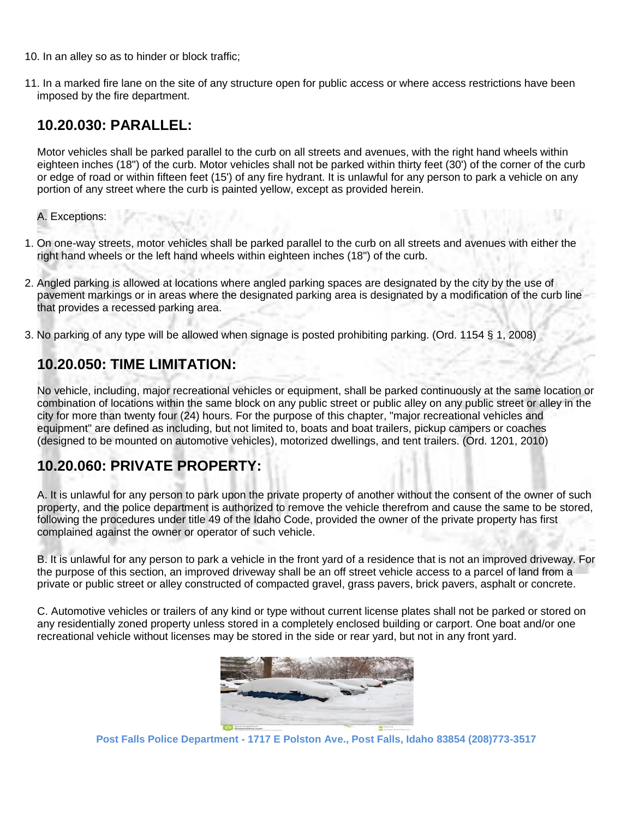- 10. In an alley so as to hinder or block traffic;
- 11. In a marked fire lane on the site of any structure open for public access or where access restrictions have been imposed by the fire department.

### **10.20.030: PARALLEL:**

Motor vehicles shall be parked parallel to the curb on all streets and avenues, with the right hand wheels within eighteen inches (18") of the curb. Motor vehicles shall not be parked within thirty feet (30') of the corner of the curb or edge of road or within fifteen feet (15') of any fire hydrant. It is unlawful for any person to park a vehicle on any portion of any street where the curb is painted yellow, except as provided herein.

A. Exceptions:

- 1. On one-way streets, motor vehicles shall be parked parallel to the curb on all streets and avenues with either the right hand wheels or the left hand wheels within eighteen inches (18") of the curb.
- 2. Angled parking is allowed at locations where angled parking spaces are designated by the city by the use of pavement markings or in areas where the designated parking area is designated by a modification of the curb line that provides a recessed parking area.
- 3. No parking of any type will be allowed when signage is posted prohibiting parking. (Ord. 1154 § 1, 2008)

## **10.20.050: TIME LIMITATION:**

No vehicle, including, major recreational vehicles or equipment, shall be parked continuously at the same location or combination of locations within the same block on any public street or public alley on any public street or alley in the city for more than twenty four (24) hours. For the purpose of this chapter, "major recreational vehicles and equipment" are defined as including, but not limited to, boats and boat trailers, pickup campers or coaches (designed to be mounted on automotive vehicles), motorized dwellings, and tent trailers. (Ord. 1201, 2010)

## **10.20.060: PRIVATE PROPERTY:**

A. It is unlawful for any person to park upon the private property of another without the consent of the owner of such property, and the police department is authorized to remove the vehicle therefrom and cause the same to be stored, following the procedures under title 49 of the Idaho Code, provided the owner of the private property has first complained against the owner or operator of such vehicle.

B. It is unlawful for any person to park a vehicle in the front yard of a residence that is not an improved driveway. For the purpose of this section, an improved driveway shall be an off street vehicle access to a parcel of land from a private or public street or alley constructed of compacted gravel, grass pavers, brick pavers, asphalt or concrete.

C. Automotive vehicles or trailers of any kind or type without current license plates shall not be parked or stored on any residentially zoned property unless stored in a completely enclosed building or carport. One boat and/or one recreational vehicle without licenses may be stored in the side or rear yard, but not in any front yard.

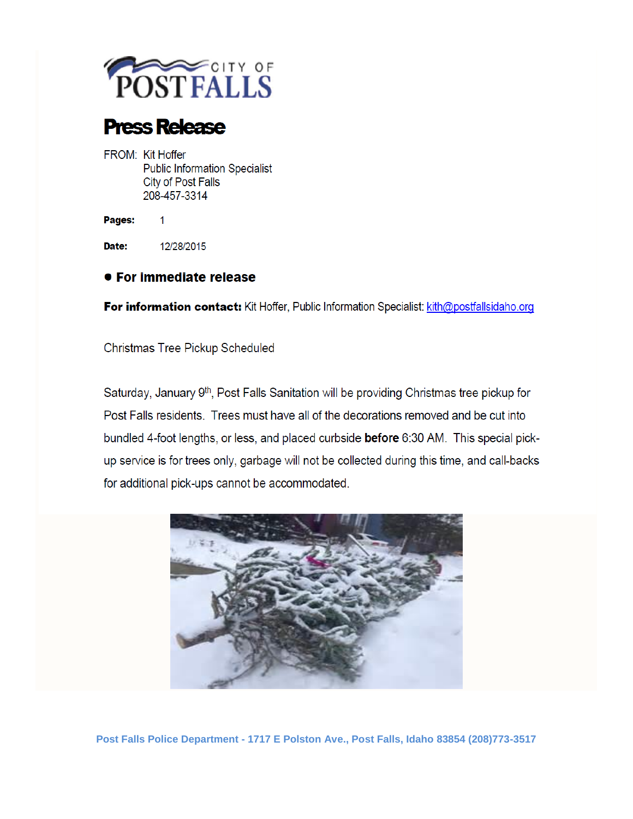

# **Press Release**

FROM: Kit Hoffer **Public Information Specialist City of Post Falls** 208-457-3314

Pages:

Date: 12/28/2015

 $\mathbf{1}$ 

#### ● For immediate release

For information contact: Kit Hoffer, Public Information Specialist: kith@postfallsidaho.org

Christmas Tree Pickup Scheduled

Saturday, January 9<sup>th</sup>, Post Falls Sanitation will be providing Christmas tree pickup for Post Falls residents. Trees must have all of the decorations removed and be cut into bundled 4-foot lengths, or less, and placed curbside **before** 6:30 AM. This special pickup service is for trees only, garbage will not be collected during this time, and call-backs for additional pick-ups cannot be accommodated.